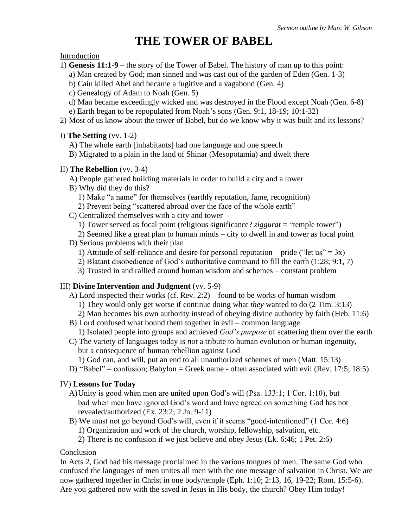# **THE TOWER OF BABEL**

#### Introduction

- 1) **Genesis 11:1-9** the story of the Tower of Babel. The history of man up to this point:
	- a) Man created by God; man sinned and was cast out of the garden of Eden (Gen. 1-3)
	- b) Cain killed Abel and became a fugitive and a vagabond (Gen. 4)
	- c) Genealogy of Adam to Noah (Gen. 5)
	- d) Man became exceedingly wicked and was destroyed in the Flood except Noah (Gen. 6-8)
	- e) Earth began to be repopulated from Noah's sons (Gen. 9:1, 18-19; 10:1-32)
- 2) Most of us know about the tower of Babel, but do we know why it was built and its lessons?

### I) **The Setting** (vv. 1-2)

- A) The whole earth [inhabitants] had one language and one speech
- B) Migrated to a plain in the land of Shinar (Mesopotamia) and dwelt there

### II) **The Rebellion** (vv. 3-4)

- A) People gathered building materials in order to build a city and a tower
- B) Why did they do this?
	- 1) Make "a name" for themselves (earthly reputation, fame, recognition)
	- 2) Prevent being "scattered abroad over the face of the whole earth"
- C) Centralized themselves with a city and tower
	- 1) Tower served as focal point (religious significance? *ziggurat* = "temple tower")

2) Seemed like a great plan to human minds – city to dwell in and tower as focal point

- D) Serious problems with their plan
	- 1) Attitude of self-reliance and desire for personal reputation pride ("let us" =  $3x$ )
	- 2) Blatant disobedience of God's authoritative command to fill the earth (1:28; 9:1, 7)
	- 3) Trusted in and rallied around human wisdom and schemes constant problem

# III) **Divine Intervention and Judgment** (vv. 5-9)

- A) Lord inspected their works (cf. Rev. 2:2) found to be works of human wisdom 1) They would only get worse if continue doing what *they* wanted to do (2 Tim. 3:13)
	- 2) Man becomes his own authority instead of obeying divine authority by faith (Heb. 11:6)
- B) Lord confused what bound them together in evil common language 1) Isolated people into groups and achieved *God's purpose* of scattering them over the earth
- C) The variety of languages today is *not* a tribute to human evolution or human ingenuity, but a consequence of human rebellion against God
	- 1) God can, and will, put an end to all unauthorized schemes of men (Matt. 15:13)
- D) "Babel" = confusion; Babylon = Greek name often associated with evil (Rev. 17:5; 18:5)

# IV) **Lessons for Today**

- A)Unity is good when men are united upon God's will (Psa. 133:1; 1 Cor. 1:10), but bad when men have ignored God's word and have agreed on something God has not revealed/authorized (Ex. 23:2; 2 Jn. 9-11)
- B) We must not go beyond God's will, even if it seems "good-intentioned" (1 Cor. 4:6)
	- 1) Organization and work of the church, worship, fellowship, salvation, etc.
	- 2) There is no confusion if we just believe and obey Jesus (Lk. 6:46; 1 Pet. 2:6)

# **Conclusion**

In Acts 2, God had his message proclaimed in the various tongues of men. The same God who confused the languages of men unites all men with the one message of salvation in Christ. We are now gathered together in Christ in one body/temple (Eph. 1:10; 2:13, 16, 19-22; Rom. 15:5-6). Are you gathered now with the saved in Jesus in His body, the church? Obey Him today!